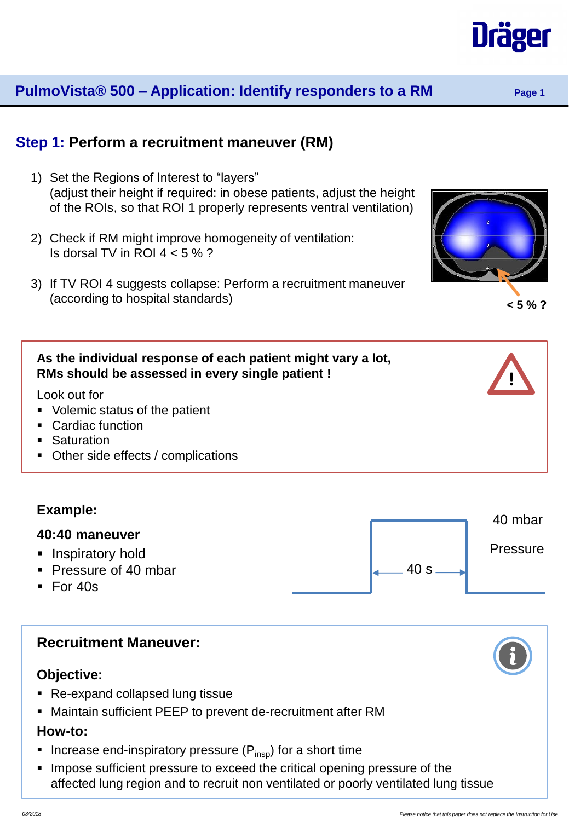# **PulmoVista® 500 – Application: Identify responders to a RM Page 1**

# **Step 1: Perform a recruitment maneuver (RM)**

- 1) Set the Regions of Interest to "layers" (adjust their height if required: in obese patients, adjust the height of the ROIs, so that ROI 1 properly represents ventral ventilation)
- 2) Check if RM might improve homogeneity of ventilation: Is dorsal TV in ROI  $4 < 5\%$  ?
- 3) If TV ROI 4 suggests collapse: Perform a recruitment maneuver (according to hospital standards)

#### **As the individual response of each patient might vary a lot, RMs should be assessed in every single patient !**

Look out for

- **Volemic status of the patient**
- Cardiac function
- Saturation
- Other side effects / complications

# **Example:**

#### **40:40 maneuver**

- **Inspiratory hold**
- Pressure of 40 mbar
- $F$ or 40s



# **Objective:**

- **Re-expand collapsed lung tissue**
- Maintain sufficient PEEP to prevent de-recruitment after RM

#### **How-to:**

- Increase end-inspiratory pressure  $(P_{insp})$  for a short time
- **IMPOSE Sufficient pressure to exceed the critical opening pressure of the** affected lung region and to recruit non ventilated or poorly ventilated lung tissue